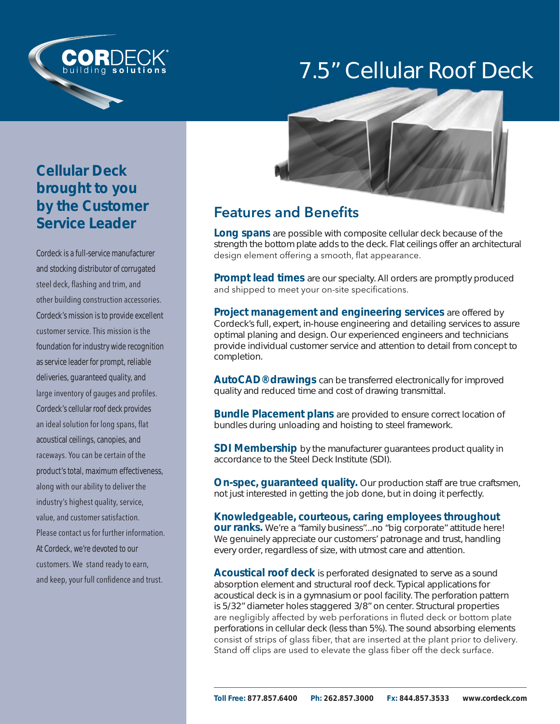

## 7.5" Cellular Roof Deck



## **Cellular Deck brought to you by the Customer Service Leader**

Cordeck is a full-service manufacturer and stocking distributor of corrugated steel deck, flashing and trim, and other building construction accessories. Cordeck's mission is to provide excellent customer service. This mission is the foundation for industry wide recognition as service leader for prompt, reliable deliveries, guaranteed quality, and large inventory of gauges and profiles. Cordeck's cellular roof deck provides an ideal solution for long spans, flat acoustical ceilings, canopies, and raceways. You can be certain of the product's total, maximum effectiveness, along with our ability to deliver the industry's highest quality, service, value, and customer satisfaction. Please contact us for further information. At Cordeck, we're devoted to our customers. We stand ready to earn, and keep, your full confidence and trust.

## **Features and Benefits**

**Long spans** are possible with composite cellular deck because of the strength the bottom plate adds to the deck. Flat ceilings offer an architectural design element offering a smooth, flat appearance.

**Prompt lead times** are our specialty. All orders are promptly produced and shipped to meet your on-site specifications.

**Project management and engineering services** are offered by Cordeck's full, expert, in-house engineering and detailing services to assure optimal planing and design. Our experienced engineers and technicians provide individual customer service and attention to detail from concept to completion.

**AutoCAD® drawings** can be transferred electronically for improved quality and reduced time and cost of drawing transmittal.

**Bundle Placement plans** are provided to ensure correct location of bundles during unloading and hoisting to steel framework.

**SDI Membership** by the manufacturer guarantees product quality in accordance to the Steel Deck Institute (SDI).

**On-spec, guaranteed quality.** Our production staff are true craftsmen, not just interested in getting the job done, but in doing it perfectly.

**Knowledgeable, courteous, caring employees throughout our ranks.** We're a "family business"...no "big corporate" attitude here! We genuinely appreciate our customers' patronage and trust, handling every order, regardless of size, with utmost care and attention.

**Acoustical roof deck** is perforated designated to serve as a sound absorption element and structural roof deck. Typical applications for acoustical deck is in a gymnasium or pool facility. The perforation pattern is 5/32" diameter holes staggered 3/8" on center. Structural properties are negligibly affected by web perforations in fluted deck or bottom plate perforations in cellular deck (less than 5%). The sound absorbing elements consist of strips of glass fiber, that are inserted at the plant prior to delivery. Stand off clips are used to elevate the glass fiber off the deck surface.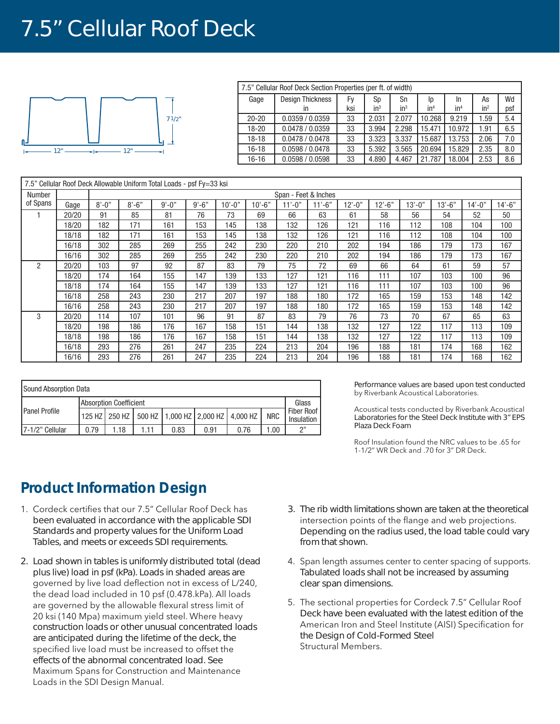# 7.5" Cellular Roof Deck



| 7.5" Cellular Roof Deck Section Properties (per ft. of width) |                         |     |        |        |                 |                 |                 |     |
|---------------------------------------------------------------|-------------------------|-----|--------|--------|-----------------|-----------------|-----------------|-----|
| Gage                                                          | <b>Design Thickness</b> | F٧  | Sp     | Sn     | Ip              | In              | As              | Wd  |
|                                                               | ın                      | ksi | $in^3$ | $in^3$ | in <sup>4</sup> | in <sup>4</sup> | in <sup>2</sup> | psf |
| $20 - 20$                                                     | 0.0359 / 0.0359         | 33  | 2.031  | 2.077  | 0.268           | 9.219           | 1.59            | 5.4 |
| 18-20                                                         | 0.0478 / 0.0359         | 33  | 3.994  | 2.298  | 15.471          | 10.972          | 1.91            | 6.5 |
| $18 - 18$                                                     | 0.0478 / 0.0478         | 33  | 3.323  | 3.337  | 15.687          | 13.753          | 2.06            | 7.0 |
| $16 - 18$                                                     | 0.0598 / 0.0478         | 33  | 5.392  | 3.565  | 20.694          | 15.829          | 2.35            | 8.0 |
| $16 - 16$                                                     | 0.0598 / 0.0598         | 33  | 4.890  | 4.467  | 21.787          | 18.004          | 2.53            | 8.6 |

| 7.5" Cellular Roof Deck Allowable Uniform Total Loads - psf Fy=33 ksi |       |                      |           |            |           |            |          |             |            |            |           |           |        |             |           |
|-----------------------------------------------------------------------|-------|----------------------|-----------|------------|-----------|------------|----------|-------------|------------|------------|-----------|-----------|--------|-------------|-----------|
| Number                                                                |       | Span - Feet & Inches |           |            |           |            |          |             |            |            |           |           |        |             |           |
| of Spans                                                              | Gage  | $8' - 0''$           | $8' - 6"$ | $9' - 0''$ | $9' - 6"$ | $10 - 0$ " | $10'-6"$ | $11' - 0''$ | $11' - 6"$ | $12 - 0$ " | $12 - 6"$ | $13'-0$ " | 13'-6" | $14' - 0''$ | $14 - 6"$ |
|                                                                       | 20/20 | 91                   | 85        | 81         | 76        | 73         | 69       | 66          | 63         | 61         | 58        | 56        | 54     | 52          | 50        |
|                                                                       | 18/20 | 182                  | 171       | 161        | 153       | 145        | 138      | 132         | 126        | 121        | 116       | 112       | 108    | 104         | 100       |
|                                                                       | 18/18 | 182                  | 171       | 161        | 153       | 145        | 138      | 132         | 126        | 121        | 116       | 112       | 108    | 104         | 100       |
|                                                                       | 16/18 | 302                  | 285       | 269        | 255       | 242        | 230      | 220         | 210        | 202        | 194       | 186       | 179    | 173         | 167       |
|                                                                       | 16/16 | 302                  | 285       | 269        | 255       | 242        | 230      | 220         | 210        | 202        | 194       | 186       | 179    | 173         | 167       |
| 2                                                                     | 20/20 | 103                  | 97        | 92         | 87        | 83         | 79       | 75          | 72         | 69         | 66        | 64        | 61     | 59          | 57        |
|                                                                       | 18/20 | 174                  | 164       | 155        | 147       | 139        | 133      | 127         | 121        | 116        | 111       | 107       | 103    | 100         | 96        |
|                                                                       | 18/18 | 174                  | 164       | 155        | 147       | 139        | 133      | 127         | 121        | 116        | 111       | 107       | 103    | 100         | 96        |
|                                                                       | 16/18 | 258                  | 243       | 230        | 217       | 207        | 197      | 188         | 180        | 172        | 165       | 159       | 153    | 148         | 142       |
|                                                                       | 16/16 | 258                  | 243       | 230        | 217       | 207        | 197      | 188         | 180        | 172        | 165       | 159       | 153    | 148         | 142       |
| 3                                                                     | 20/20 | 114                  | 107       | 101        | 96        | 91         | 87       | 83          | 79         | 76         | 73        | 70        | 67     | 65          | 63        |
|                                                                       | 18/20 | 198                  | 186       | 176        | 167       | 158        | 151      | 144         | 138        | 132        | 127       | 122       | 117    | 113         | 109       |
|                                                                       | 18/18 | 198                  | 186       | 176        | 167       | 158        | 151      | 144         | 138        | 132        | 127       | 122       | 117    | 113         | 109       |
|                                                                       | 16/18 | 293                  | 276       | 261        | 247       | 235        | 224      | 213         | 204        | 196        | 188       | 181       | 174    | 168         | 162       |
|                                                                       | 16/16 | 293                  | 276       | 261        | 247       | 235        | 224      | 213         | 204        | 196        | 188       | 181       | 174    | 168         | 162       |

| Sound Absorption Data |                                                                                                                            |     |     |      |      |      |     |      |
|-----------------------|----------------------------------------------------------------------------------------------------------------------------|-----|-----|------|------|------|-----|------|
| l Panel Profile       | <b>Absorption Coefficient</b><br>Fiber Roof<br>125 HZ 250 HZ 500 HZ 1,000 HZ 2,000 HZ 4,000 HZ<br><b>NRC</b><br>Insulation |     |     |      |      |      |     |      |
| 17-1/2" Cellular      | 0.79                                                                                                                       | .18 | .11 | 0.83 | 0.91 | 0.76 | .00 | יי ה |

Performance values are based upon test conducted by Riverbank Acoustical Laboratories.

Acoustical tests conducted by Riverbank Acoustical Laboratories for the Steel Deck Institute with 3" EPS Plaza Deck Foam

Roof Insulation found the NRC values to be .65 for 1-1/2" WR Deck and .70 for 3" DR Deck.

## **Product Information Design**

- 1. Cordeck certifies that our 7.5" Cellular Roof Deck has been evaluated in accordance with the applicable SDI Standards and property values for the Uniform Load Tables, and meets or exceeds SDI requirements.
- 2. Load shown in tables is uniformly distributed total (dead plus live) load in psf (kPa). Loads in shaded areas are governed by live load deflection not in excess of L/240, the dead load included in 10 psf (0.478.kPa). All loads are governed by the allowable flexural stress limit of 20 ksi (140 Mpa) maximum yield steel. Where heavy construction loads or other unusual concentrated loads are anticipated during the lifetime of the deck, the specified live load must be increased to offset the effects of the abnormal concentrated load. See Maximum Spans for Construction and Maintenance Loads in the SDI Design Manual.
- 3. The rib width limitations shown are taken at the theoretical intersection points of the flange and web projections. Depending on the radius used, the load table could vary from that shown.
- 4. Span length assumes center to center spacing of supports. Tabulated loads shall not be increased by assuming clear span dimensions.
- 5. The sectional properties for Cordeck 7.5" Cellular Roof Deck have been evaluated with the latest edition of the American Iron and Steel Institute (AISI) Specification for the Design of Cold-Formed Steel Structural Members.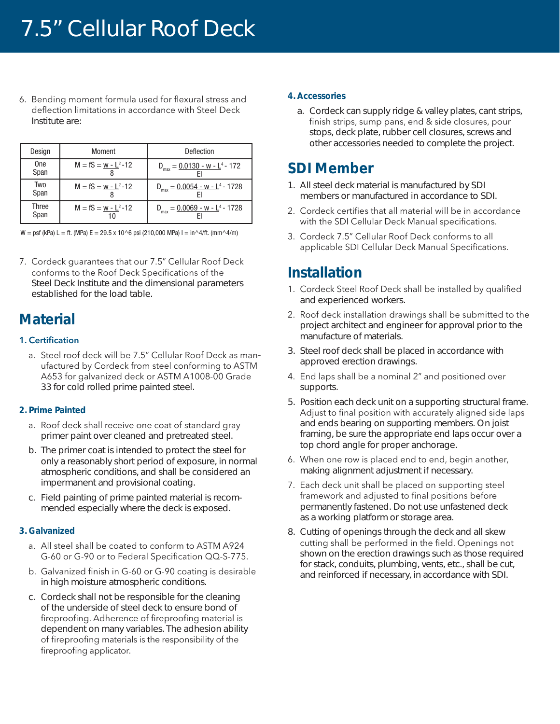# 7.5" Cellular Roof Deck

6. Bending moment formula used for flexural stress and deflection limitations in accordance with Steel Deck Institute are:

| Design        | Moment                  | Deflection                                                     |
|---------------|-------------------------|----------------------------------------------------------------|
| 0ne<br>Span   | $M = fS = w - L^2 - 12$ | $D_{\text{max}} = 0.0130 - W - L^4 - 172$                      |
| Two<br>Span   | $M = fS = w - L^2 - 12$ | $v = 0.0054 - W - L4 - 1728$<br>max                            |
| Three<br>Span | $M = fS = w - L2 - 12$  | $v_{\rm w}$ = <u>0.0069 - w - L</u> <sup>4</sup> - 1728<br>max |

 $W = psf (kPa) L = ft.$  (MPa)  $E = 29.5 \times 10^{6}$  psi (210,000 MPa)  $I = in^4/ft.$  (mm<sup> $\land$ 4/m)</sup>

7. Cordeck guarantees that our 7.5" Cellular Roof Deck conforms to the Roof Deck Specifications of the Steel Deck Institute and the dimensional parameters established for the load table.

### **Material**

#### **1. Certification**

a. Steel roof deck will be 7.5" Cellular Roof Deck as manufactured by Cordeck from steel conforming to ASTM A653 for galvanized deck or ASTM A1008-00 Grade 33 for cold rolled prime painted steel.

#### **2. Prime Painted**

- a. Roof deck shall receive one coat of standard gray primer paint over cleaned and pretreated steel.
- b. The primer coat is intended to protect the steel for only a reasonably short period of exposure, in normal atmospheric conditions, and shall be considered an impermanent and provisional coating.
- c. Field painting of prime painted material is recommended especially where the deck is exposed.

#### **3. Galvanized**

- a. All steel shall be coated to conform to ASTM A924 G-60 or G-90 or to Federal Specification QQ-S-775.
- b. Galvanized finish in G-60 or G-90 coating is desirable in high moisture atmospheric conditions.
- c. Cordeck shall not be responsible for the cleaning of the underside of steel deck to ensure bond of fireproofing. Adherence of fireproofing material is dependent on many variables. The adhesion ability of fireproofing materials is the responsibility of the fireproofing applicator.

#### **4. Accessories**

a. Cordeck can supply ridge & valley plates, cant strips, finish strips, sump pans, end & side closures, pour stops, deck plate, rubber cell closures, screws and other accessories needed to complete the project.

### **SDI Member**

- 1. All steel deck material is manufactured by SDI members or manufactured in accordance to SDI.
- 2. Cordeck certifies that all material will be in accordance with the SDI Cellular Deck Manual specifications.
- 3. Cordeck 7.5" Cellular Roof Deck conforms to all applicable SDI Cellular Deck Manual Specifications.

### **Installation**

- 1. Cordeck Steel Roof Deck shall be installed by qualified and experienced workers.
- 2. Roof deck installation drawings shall be submitted to the project architect and engineer for approval prior to the manufacture of materials.
- 3. Steel roof deck shall be placed in accordance with approved erection drawings.
- 4. End laps shall be a nominal 2" and positioned over supports.
- 5. Position each deck unit on a supporting structural frame. Adjust to final position with accurately aligned side laps and ends bearing on supporting members. On joist framing, be sure the appropriate end laps occur over a top chord angle for proper anchorage.
- 6. When one row is placed end to end, begin another, making alignment adjustment if necessary.
- 7. Each deck unit shall be placed on supporting steel framework and adjusted to final positions before permanently fastened. Do not use unfastened deck as a working platform or storage area.
- 8. Cutting of openings through the deck and all skew cutting shall be performed in the field. Openings not shown on the erection drawings such as those required for stack, conduits, plumbing, vents, etc., shall be cut, and reinforced if necessary, in accordance with SDI.